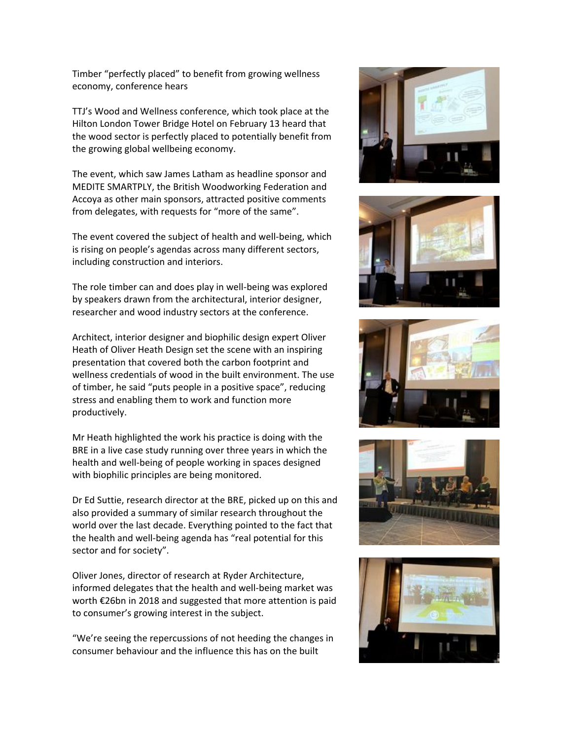Timber "perfectly placed" to benefit from growing wellness economy, conference hears

TTJ's Wood and Wellness conference, which took place at the Hilton London Tower Bridge Hotel on February 13 heard that the wood sector is perfectly placed to potentially benefit from the growing global wellbeing economy.

The event, which saw James Latham as headline sponsor and MEDITE SMARTPLY, the British Woodworking Federation and Accoya as other main sponsors, attracted positive comments from delegates, with requests for "more of the same".

The event covered the subject of health and well-being, which is rising on people's agendas across many different sectors, including construction and interiors.

The role timber can and does play in well-being was explored by speakers drawn from the architectural, interior designer, researcher and wood industry sectors at the conference.

Architect, interior designer and biophilic design expert Oliver Heath of Oliver Heath Design set the scene with an inspiring presentation that covered both the carbon footprint and wellness credentials of wood in the built environment. The use of timber, he said "puts people in a positive space", reducing stress and enabling them to work and function more productively.

Mr Heath highlighted the work his practice is doing with the BRE in a live case study running over three years in which the health and well-being of people working in spaces designed with biophilic principles are being monitored.

Dr Ed Suttie, research director at the BRE, picked up on this and also provided a summary of similar research throughout the world over the last decade. Everything pointed to the fact that the health and well-being agenda has "real potential for this sector and for society".

Oliver Jones, director of research at Ryder Architecture, informed delegates that the health and well-being market was worth €26bn in 2018 and suggested that more attention is paid to consumer's growing interest in the subject.

"We're seeing the repercussions of not heeding the changes in consumer behaviour and the influence this has on the built









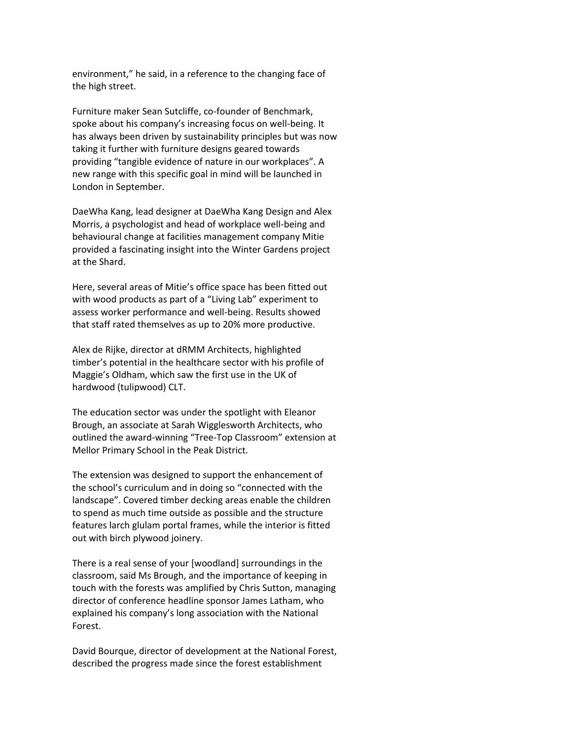environment," he said, in a reference to the changing face of the high street.

Furniture maker Sean Sutcliffe, co-founder of Benchmark, spoke about his company's increasing focus on well-being. It has always been driven by sustainability principles but was now taking it further with furniture designs geared towards providing "tangible evidence of nature in our workplaces". A new range with this specific goal in mind will be launched in London in September.

DaeWha Kang, lead designer at DaeWha Kang Design and Alex Morris, a psychologist and head of workplace well-being and behavioural change at facilities management company Mitie provided a fascinating insight into the Winter Gardens project at the Shard.

Here, several areas of Mitie's office space has been fitted out with wood products as part of a "Living Lab" experiment to assess worker performance and well-being. Results showed that staff rated themselves as up to 20% more productive.

Alex de Rijke, director at dRMM Architects, highlighted timber's potential in the healthcare sector with his profile of Maggie's Oldham, which saw the first use in the UK of hardwood (tulipwood) CLT.

The education sector was under the spotlight with Eleanor Brough, an associate at Sarah Wigglesworth Architects, who outlined the award-winning "Tree-Top Classroom" extension at Mellor Primary School in the Peak District.

The extension was designed to support the enhancement of the school's curriculum and in doing so "connected with the landscape". Covered timber decking areas enable the children to spend as much time outside as possible and the structure features larch glulam portal frames, while the interior is fitted out with birch plywood joinery.

There is a real sense of your [woodland] surroundings in the classroom, said Ms Brough, and the importance of keeping in touch with the forests was amplified by Chris Sutton, managing director of conference headline sponsor James Latham, who explained his company's long association with the National Forest.

David Bourque, director of development at the National Forest, described the progress made since the forest establishment